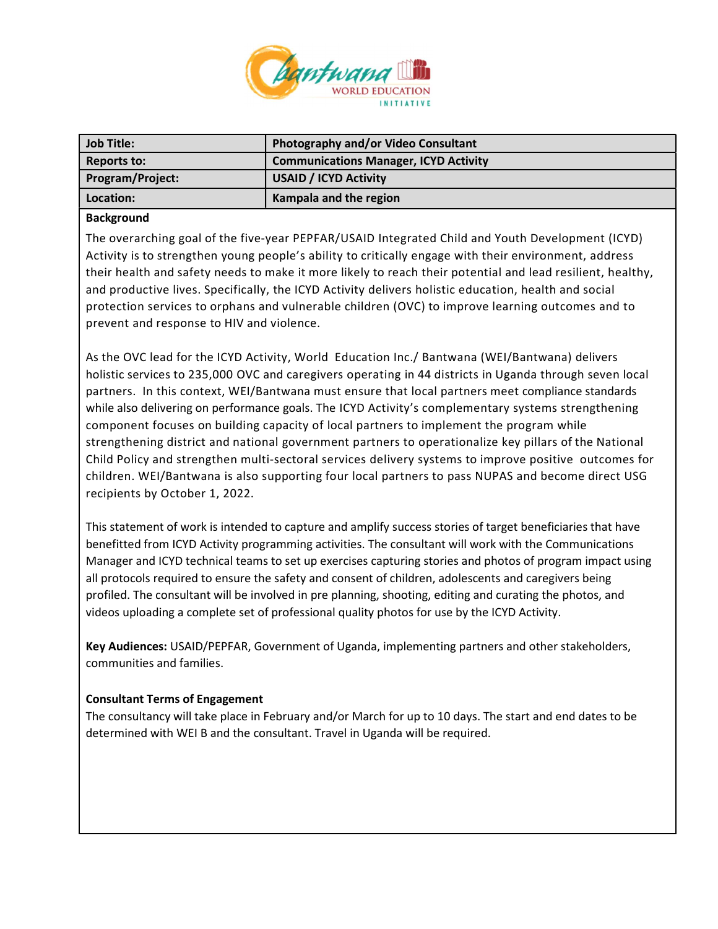

| Job Title:       | Photography and/or Video Consultant          |
|------------------|----------------------------------------------|
| Reports to:      | <b>Communications Manager, ICYD Activity</b> |
| Program/Project: | <b>USAID / ICYD Activity</b>                 |
| Location:        | Kampala and the region                       |

## Background

The overarching goal of the five-year PEPFAR/USAID Integrated Child and Youth Development (ICYD) Activity is to strengthen young people's ability to critically engage with their environment, address their health and safety needs to make it more likely to reach their potential and lead resilient, healthy, and productive lives. Specifically, the ICYD Activity delivers holistic education, health and social protection services to orphans and vulnerable children (OVC) to improve learning outcomes and to prevent and response to HIV and violence.

As the OVC lead for the ICYD Activity, World Education Inc./ Bantwana (WEI/Bantwana) delivers holistic services to 235,000 OVC and caregivers operating in 44 districts in Uganda through seven local partners. In this context, WEI/Bantwana must ensure that local partners meet compliance standards while also delivering on performance goals. The ICYD Activity's complementary systems strengthening component focuses on building capacity of local partners to implement the program while strengthening district and national government partners to operationalize key pillars of the National Child Policy and strengthen multi-sectoral services delivery systems to improve positive outcomes for children. WEI/Bantwana is also supporting four local partners to pass NUPAS and become direct USG recipients by October 1, 2022.

This statement of work is intended to capture and amplify success stories of target beneficiaries that have benefitted from ICYD Activity programming activities. The consultant will work with the Communications Manager and ICYD technical teams to set up exercises capturing stories and photos of program impact using all protocols required to ensure the safety and consent of children, adolescents and caregivers being profiled. The consultant will be involved in pre planning, shooting, editing and curating the photos, and videos uploading a complete set of professional quality photos for use by the ICYD Activity.

Key Audiences: USAID/PEPFAR, Government of Uganda, implementing partners and other stakeholders, communities and families.

## Consultant Terms of Engagement

The consultancy will take place in February and/or March for up to 10 days. The start and end dates to be determined with WEI B and the consultant. Travel in Uganda will be required.